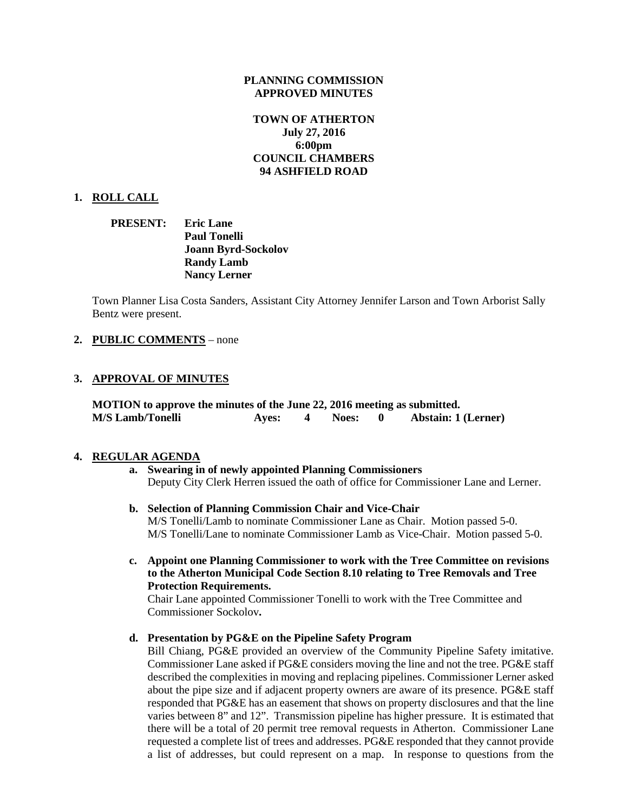#### **PLANNING COMMISSION APPROVED MINUTES**

# **TOWN OF ATHERTON July 27, 2016 6:00pm COUNCIL CHAMBERS 94 ASHFIELD ROAD**

### **1. ROLL CALL**

## **PRESENT: Eric Lane Paul Tonelli Joann Byrd-Sockolov Randy Lamb Nancy Lerner**

Town Planner Lisa Costa Sanders, Assistant City Attorney Jennifer Larson and Town Arborist Sally Bentz were present.

#### **2. PUBLIC COMMENTS** – none

#### **3. APPROVAL OF MINUTES**

**MOTION to approve the minutes of the June 22, 2016 meeting as submitted. M/S Lamb/Tonelli Ayes: 4 Noes: 0 Abstain: 1 (Lerner)**

#### **4. REGULAR AGENDA**

### **a. Swearing in of newly appointed Planning Commissioners**  Deputy City Clerk Herren issued the oath of office for Commissioner Lane and Lerner.

- **b. Selection of Planning Commission Chair and Vice-Chair** M/S Tonelli/Lamb to nominate Commissioner Lane as Chair. Motion passed 5-0. M/S Tonelli/Lane to nominate Commissioner Lamb as Vice-Chair. Motion passed 5-0.
- **c. Appoint one Planning Commissioner to work with the Tree Committee on revisions to the Atherton Municipal Code Section 8.10 relating to Tree Removals and Tree Protection Requirements.**

Chair Lane appointed Commissioner Tonelli to work with the Tree Committee and Commissioner Sockolov**.**

# **d. Presentation by PG&E on the Pipeline Safety Program**

Bill Chiang, PG&E provided an overview of the Community Pipeline Safety imitative. Commissioner Lane asked if PG&E considers moving the line and not the tree. PG&E staff described the complexities in moving and replacing pipelines. Commissioner Lerner asked about the pipe size and if adjacent property owners are aware of its presence. PG&E staff responded that PG&E has an easement that shows on property disclosures and that the line varies between 8" and 12". Transmission pipeline has higher pressure. It is estimated that there will be a total of 20 permit tree removal requests in Atherton. Commissioner Lane requested a complete list of trees and addresses. PG&E responded that they cannot provide a list of addresses, but could represent on a map. In response to questions from the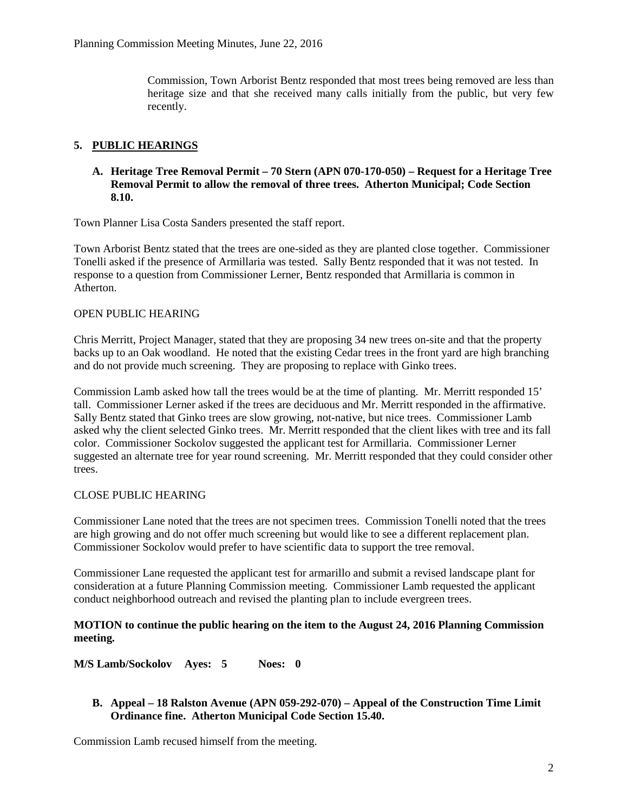Commission, Town Arborist Bentz responded that most trees being removed are less than heritage size and that she received many calls initially from the public, but very few recently.

# **5. PUBLIC HEARINGS**

## **A. Heritage Tree Removal Permit – 70 Stern (APN 070-170-050) – Request for a Heritage Tree Removal Permit to allow the removal of three trees. Atherton Municipal; Code Section 8.10.**

Town Planner Lisa Costa Sanders presented the staff report.

Town Arborist Bentz stated that the trees are one-sided as they are planted close together. Commissioner Tonelli asked if the presence of Armillaria was tested. Sally Bentz responded that it was not tested. In response to a question from Commissioner Lerner, Bentz responded that Armillaria is common in Atherton.

# OPEN PUBLIC HEARING

Chris Merritt, Project Manager, stated that they are proposing 34 new trees on-site and that the property backs up to an Oak woodland. He noted that the existing Cedar trees in the front yard are high branching and do not provide much screening. They are proposing to replace with Ginko trees.

Commission Lamb asked how tall the trees would be at the time of planting. Mr. Merritt responded 15' tall. Commissioner Lerner asked if the trees are deciduous and Mr. Merritt responded in the affirmative. Sally Bentz stated that Ginko trees are slow growing, not-native, but nice trees. Commissioner Lamb asked why the client selected Ginko trees. Mr. Merritt responded that the client likes with tree and its fall color. Commissioner Sockolov suggested the applicant test for Armillaria. Commissioner Lerner suggested an alternate tree for year round screening. Mr. Merritt responded that they could consider other trees.

# CLOSE PUBLIC HEARING

Commissioner Lane noted that the trees are not specimen trees. Commission Tonelli noted that the trees are high growing and do not offer much screening but would like to see a different replacement plan. Commissioner Sockolov would prefer to have scientific data to support the tree removal.

Commissioner Lane requested the applicant test for armarillo and submit a revised landscape plant for consideration at a future Planning Commission meeting. Commissioner Lamb requested the applicant conduct neighborhood outreach and revised the planting plan to include evergreen trees.

# **MOTION to continue the public hearing on the item to the August 24, 2016 Planning Commission meeting.**

**M/S Lamb/Sockolov Ayes: 5 Noes: 0**

# **B. Appeal – 18 Ralston Avenue (APN 059-292-070) – Appeal of the Construction Time Limit Ordinance fine. Atherton Municipal Code Section 15.40.**

Commission Lamb recused himself from the meeting.